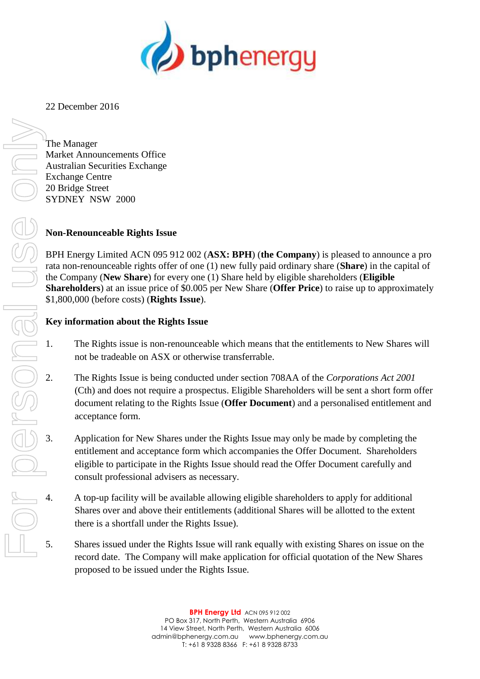

22 December 2016

The Manager Market Announcements Office Australian Securities Exchange Exchange Centre 20 Bridge Street SYDNEY NSW 2000

# **Non-Renounceable Rights Issue**

BPH Energy Limited ACN 095 912 002 (**ASX: BPH**) (**the Company**) is pleased to announce a pro rata non-renounceable rights offer of one (1) new fully paid ordinary share (**Share**) in the capital of the Company (**New Share**) for every one (1) Share held by eligible shareholders (**Eligible Shareholders**) at an issue price of \$0.005 per New Share (**Offer Price**) to raise up to approximately \$1,800,000 (before costs) (**Rights Issue**).

# **Key information about the Rights Issue**

- 1. The Rights issue is non-renounceable which means that the entitlements to New Shares will not be tradeable on ASX or otherwise transferrable.
- 2. The Rights Issue is being conducted under section 708AA of the *Corporations Act 2001* (Cth) and does not require a prospectus. Eligible Shareholders will be sent a short form offer document relating to the Rights Issue (**Offer Document**) and a personalised entitlement and acceptance form.
- 3. Application for New Shares under the Rights Issue may only be made by completing the entitlement and acceptance form which accompanies the Offer Document. Shareholders eligible to participate in the Rights Issue should read the Offer Document carefully and consult professional advisers as necessary.
- 4. A top-up facility will be available allowing eligible shareholders to apply for additional Shares over and above their entitlements (additional Shares will be allotted to the extent there is a shortfall under the Rights Issue).
- 5. Shares issued under the Rights Issue will rank equally with existing Shares on issue on the record date. The Company will make application for official quotation of the New Shares proposed to be issued under the Rights Issue.